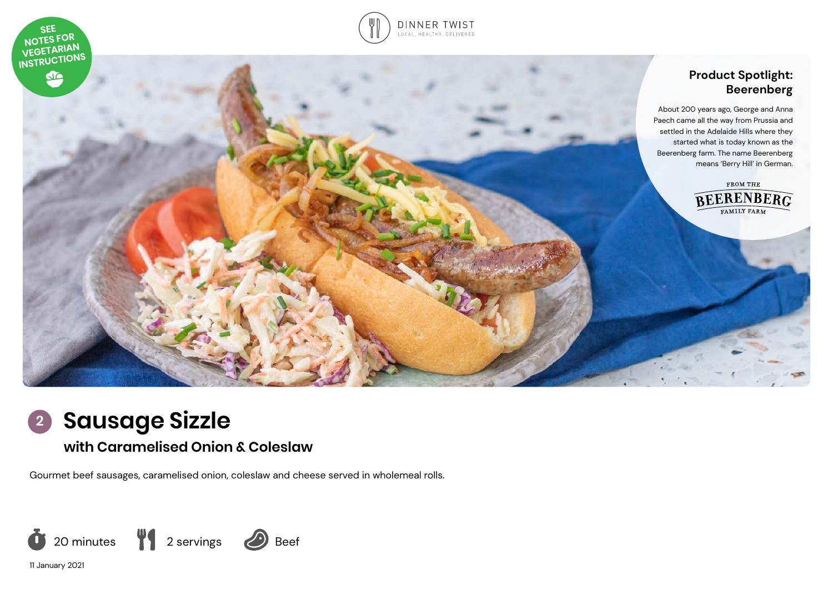





**Sausage Sizzle 2**

# **with Caramelised Onion & Coleslaw**

Gourmet beef sausages, caramelised onion, coleslaw and cheese served in wholemeal rolls.



11 January 2021